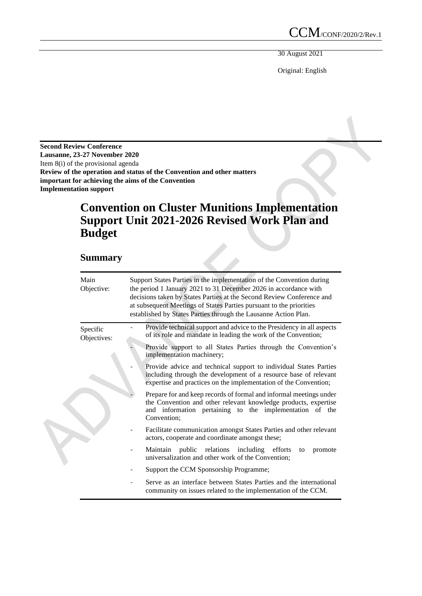30 August 2021

Original: English

**Second Review Conference Lausanne, 23-27 November 2020** Item 8(i) of the provisional agenda **Review of the operation and status of the Convention and other matters important for achieving the aims of the Convention Implementation support**

# **Convention on Cluster Munitions Implementation Support Unit 2021-2026 Revised Work Plan and Budget**

# **Summary**

| Main<br>Objective:      | Support States Parties in the implementation of the Convention during<br>the period 1 January 2021 to 31 December 2026 in accordance with<br>decisions taken by States Parties at the Second Review Conference and<br>at subsequent Meetings of States Parties pursuant to the priorities<br>established by States Parties through the Lausanne Action Plan. |  |  |  |  |  |
|-------------------------|--------------------------------------------------------------------------------------------------------------------------------------------------------------------------------------------------------------------------------------------------------------------------------------------------------------------------------------------------------------|--|--|--|--|--|
| Specific<br>Objectives: | Provide technical support and advice to the Presidency in all aspects<br>of its role and mandate in leading the work of the Convention;                                                                                                                                                                                                                      |  |  |  |  |  |
|                         | Provide support to all States Parties through the Convention's<br>implementation machinery;                                                                                                                                                                                                                                                                  |  |  |  |  |  |
|                         | Provide advice and technical support to individual States Parties<br>including through the development of a resource base of relevant<br>expertise and practices on the implementation of the Convention;                                                                                                                                                    |  |  |  |  |  |
|                         | Prepare for and keep records of formal and informal meetings under<br>the Convention and other relevant knowledge products, expertise<br>and information pertaining to the implementation of the<br>Convention;                                                                                                                                              |  |  |  |  |  |
|                         | Facilitate communication amongst States Parties and other relevant<br>actors, cooperate and coordinate amongst these;                                                                                                                                                                                                                                        |  |  |  |  |  |
|                         | Maintain public relations including efforts<br>promote<br>to<br>universalization and other work of the Convention;                                                                                                                                                                                                                                           |  |  |  |  |  |
|                         | Support the CCM Sponsorship Programme;                                                                                                                                                                                                                                                                                                                       |  |  |  |  |  |
|                         | Serve as an interface between States Parties and the international<br>community on issues related to the implementation of the CCM.                                                                                                                                                                                                                          |  |  |  |  |  |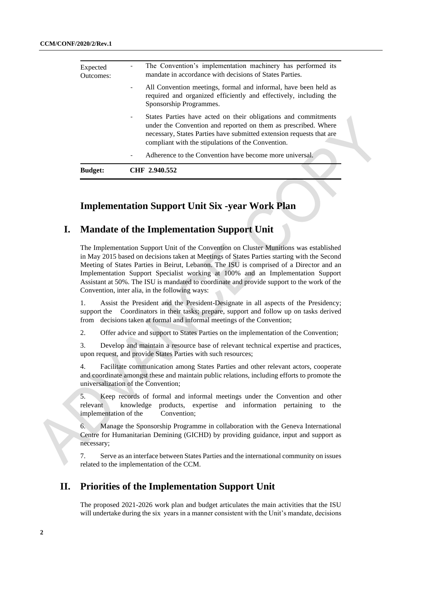| <b>Budget:</b>        | CHF 2.940.552                                                                                                                                                                                                                                                       |
|-----------------------|---------------------------------------------------------------------------------------------------------------------------------------------------------------------------------------------------------------------------------------------------------------------|
|                       | Adherence to the Convention have become more universal.<br>$\qquad \qquad \blacksquare$                                                                                                                                                                             |
|                       | States Parties have acted on their obligations and commitments<br>-<br>under the Convention and reported on them as prescribed. Where<br>necessary, States Parties have submitted extension requests that are<br>compliant with the stipulations of the Convention. |
|                       | All Convention meetings, formal and informal, have been held as<br>-<br>required and organized efficiently and effectively, including the<br>Sponsorship Programmes.                                                                                                |
| Expected<br>Outcomes: | The Convention's implementation machinery has performed its<br>mandate in accordance with decisions of States Parties.                                                                                                                                              |

# **Implementation Support Unit Six -year Work Plan**

### **I. Mandate of the Implementation Support Unit**

The Implementation Support Unit of the Convention on Cluster Munitions was established in May 2015 based on decisions taken at Meetings of States Parties starting with the Second Meeting of States Parties in Beirut, Lebanon. The ISU is comprised of a Director and an Implementation Support Specialist working at 100% and an Implementation Support Assistant at 50%. The ISU is mandated to coordinate and provide support to the work of the Convention, inter alia, in the following ways:

1. Assist the President and the President-Designate in all aspects of the Presidency; support the Coordinators in their tasks; prepare, support and follow up on tasks derived from decisions taken at formal and informal meetings of the Convention;

2. Offer advice and support to States Parties on the implementation of the Convention;

3. Develop and maintain a resource base of relevant technical expertise and practices, upon request, and provide States Parties with such resources;

4. Facilitate communication among States Parties and other relevant actors, cooperate and coordinate amongst these and maintain public relations, including efforts to promote the universalization of the Convention;

5. Keep records of formal and informal meetings under the Convention and other relevant knowledge products, expertise and information pertaining to the implementation of the Convention;

6. Manage the Sponsorship Programme in collaboration with the Geneva International Centre for Humanitarian Demining (GICHD) by providing guidance, input and support as necessary;

7. Serve as an interface between States Parties and the international community on issues related to the implementation of the CCM.

## **II. Priorities of the Implementation Support Unit**

The proposed 2021-2026 work plan and budget articulates the main activities that the ISU will undertake during the six years in a manner consistent with the Unit's mandate, decisions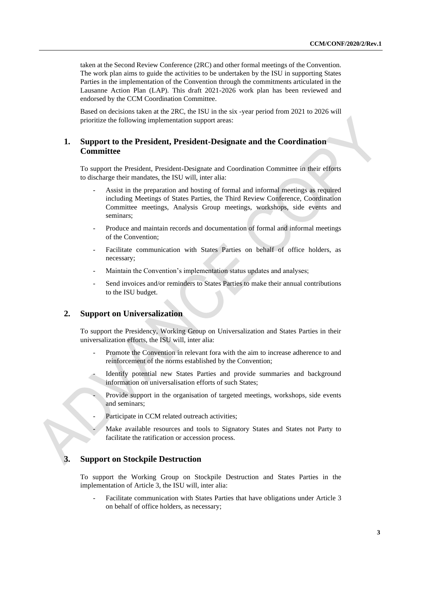taken at the Second Review Conference (2RC) and other formal meetings of the Convention. The work plan aims to guide the activities to be undertaken by the ISU in supporting States Parties in the implementation of the Convention through the commitments articulated in the Lausanne Action Plan (LAP). This draft 2021-2026 work plan has been reviewed and endorsed by the CCM Coordination Committee.

Based on decisions taken at the 2RC, the ISU in the six -year period from 2021 to 2026 will prioritize the following implementation support areas:

#### **1. Support to the President, President-Designate and the Coordination Committee**

To support the President, President-Designate and Coordination Committee in their efforts to discharge their mandates, the ISU will, inter alia:

- Assist in the preparation and hosting of formal and informal meetings as required including Meetings of States Parties, the Third Review Conference, Coordination Committee meetings, Analysis Group meetings, workshops, side events and seminars;
- Produce and maintain records and documentation of formal and informal meetings of the Convention;
- Facilitate communication with States Parties on behalf of office holders, as necessary;
- Maintain the Convention's implementation status updates and analyses;
- Send invoices and/or reminders to States Parties to make their annual contributions to the ISU budget.

#### **2. Support on Universalization**

To support the Presidency, Working Group on Universalization and States Parties in their universalization efforts, the ISU will, inter alia:

- Promote the Convention in relevant fora with the aim to increase adherence to and reinforcement of the norms established by the Convention;
- Identify potential new States Parties and provide summaries and background information on universalisation efforts of such States;
- Provide support in the organisation of targeted meetings, workshops, side events and seminars;
- Participate in CCM related outreach activities;
	- Make available resources and tools to Signatory States and States not Party to facilitate the ratification or accession process.

#### **3. Support on Stockpile Destruction**

To support the Working Group on Stockpile Destruction and States Parties in the implementation of Article 3, the ISU will, inter alia:

Facilitate communication with States Parties that have obligations under Article 3 on behalf of office holders, as necessary;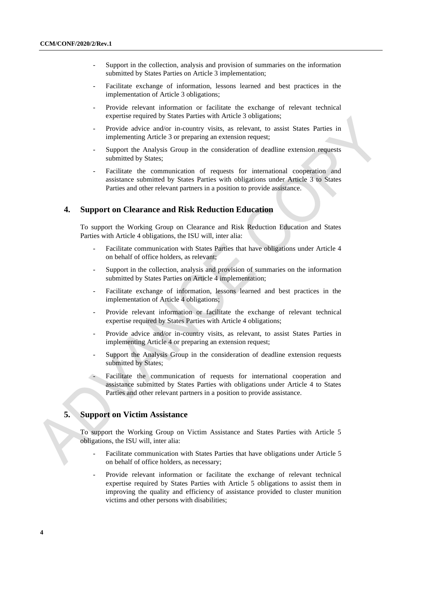- Support in the collection, analysis and provision of summaries on the information submitted by States Parties on Article 3 implementation;
- Facilitate exchange of information, lessons learned and best practices in the implementation of Article 3 obligations;
- Provide relevant information or facilitate the exchange of relevant technical expertise required by States Parties with Article 3 obligations;
- Provide advice and/or in-country visits, as relevant, to assist States Parties in implementing Article 3 or preparing an extension request;
- Support the Analysis Group in the consideration of deadline extension requests submitted by States;
- Facilitate the communication of requests for international cooperation and assistance submitted by States Parties with obligations under Article 3 to States Parties and other relevant partners in a position to provide assistance.

#### **4. Support on Clearance and Risk Reduction Education**

To support the Working Group on Clearance and Risk Reduction Education and States Parties with Article 4 obligations, the ISU will, inter alia:

- Facilitate communication with States Parties that have obligations under Article 4 on behalf of office holders, as relevant;
- Support in the collection, analysis and provision of summaries on the information submitted by States Parties on Article 4 implementation;
- Facilitate exchange of information, lessons learned and best practices in the implementation of Article 4 obligations;
- Provide relevant information or facilitate the exchange of relevant technical expertise required by States Parties with Article 4 obligations;
- Provide advice and/or in-country visits, as relevant, to assist States Parties in implementing Article 4 or preparing an extension request;
- Support the Analysis Group in the consideration of deadline extension requests submitted by States;
- Facilitate the communication of requests for international cooperation and assistance submitted by States Parties with obligations under Article 4 to States Parties and other relevant partners in a position to provide assistance.

### **5. Support on Victim Assistance**

To support the Working Group on Victim Assistance and States Parties with Article 5 obligations, the ISU will, inter alia:

- Facilitate communication with States Parties that have obligations under Article 5 on behalf of office holders, as necessary;
- Provide relevant information or facilitate the exchange of relevant technical expertise required by States Parties with Article 5 obligations to assist them in improving the quality and efficiency of assistance provided to cluster munition victims and other persons with disabilities;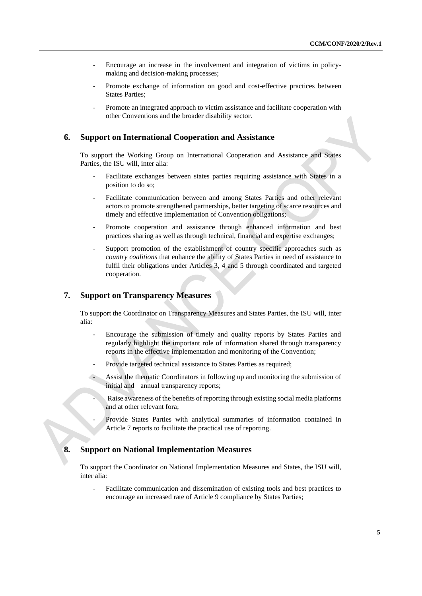- Encourage an increase in the involvement and integration of victims in policymaking and decision-making processes;
- Promote exchange of information on good and cost-effective practices between States Parties;
- Promote an integrated approach to victim assistance and facilitate cooperation with other Conventions and the broader disability sector.

#### **6. Support on International Cooperation and Assistance**

To support the Working Group on International Cooperation and Assistance and States Parties, the ISU will, inter alia:

- Facilitate exchanges between states parties requiring assistance with States in a position to do so;
- Facilitate communication between and among States Parties and other relevant actors to promote strengthened partnerships, better targeting of scarce resources and timely and effective implementation of Convention obligations;
- Promote cooperation and assistance through enhanced information and best practices sharing as well as through technical, financial and expertise exchanges;
- Support promotion of the establishment of country specific approaches such as *country coalitions* that enhance the ability of States Parties in need of assistance to fulfil their obligations under Articles 3, 4 and 5 through coordinated and targeted cooperation.

#### **7. Support on Transparency Measures**

To support the Coordinator on Transparency Measures and States Parties, the ISU will, inter alia:

- Encourage the submission of timely and quality reports by States Parties and regularly highlight the important role of information shared through transparency reports in the effective implementation and monitoring of the Convention;
- Provide targeted technical assistance to States Parties as required;
- Assist the thematic Coordinators in following up and monitoring the submission of initial and annual transparency reports;
- Raise awareness of the benefits of reporting through existing social media platforms and at other relevant fora;
- Provide States Parties with analytical summaries of information contained in Article 7 reports to facilitate the practical use of reporting.

#### **8. Support on National Implementation Measures**

To support the Coordinator on National Implementation Measures and States, the ISU will, inter alia:

- Facilitate communication and dissemination of existing tools and best practices to encourage an increased rate of Article 9 compliance by States Parties;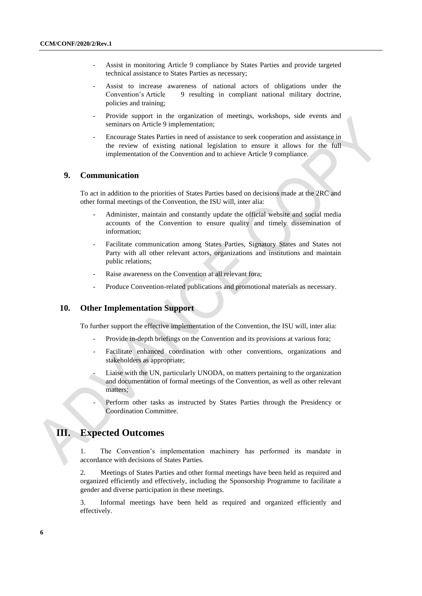- Assist in monitoring Article 9 compliance by States Parties and provide targeted technical assistance to States Parties as necessary;
- Assist to increase awareness of national actors of obligations under the Convention's Article 9 resulting in compliant national military doctrine, policies and training;
- Provide support in the organization of meetings, workshops, side events and seminars on Article 9 implementation;
- Encourage States Parties in need of assistance to seek cooperation and assistance in the review of existing national legislation to ensure it allows for the full implementation of the Convention and to achieve Article 9 compliance.

#### **9. Communication**

To act in addition to the priorities of States Parties based on decisions made at the 2RC and other formal meetings of the Convention, the ISU will, inter alia:

- Administer, maintain and constantly update the official website and social media accounts of the Convention to ensure quality and timely dissemination of information;
- Facilitate communication among States Parties, Signatory States and States not Party with all other relevant actors, organizations and institutions and maintain public relations;
- Raise awareness on the Convention at all relevant fora;
- Produce Convention-related publications and promotional materials as necessary.

### **10. Other Implementation Support**

To further support the effective implementation of the Convention, the ISU will, inter alia:

- Provide in-depth briefings on the Convention and its provisions at various fora;
- Facilitate enhanced coordination with other conventions, organizations and stakeholders as appropriate;
- Liaise with the UN, particularly UNODA, on matters pertaining to the organization and documentation of formal meetings of the Convention, as well as other relevant matters;
- Perform other tasks as instructed by States Parties through the Presidency or Coordination Committee.

### **III. Expected Outcomes**

1. The Convention's implementation machinery has performed its mandate in accordance with decisions of States Parties.

2. Meetings of States Parties and other formal meetings have been held as required and organized efficiently and effectively, including the Sponsorship Programme to facilitate a gender and diverse participation in these meetings.

3. Informal meetings have been held as required and organized efficiently and effectively.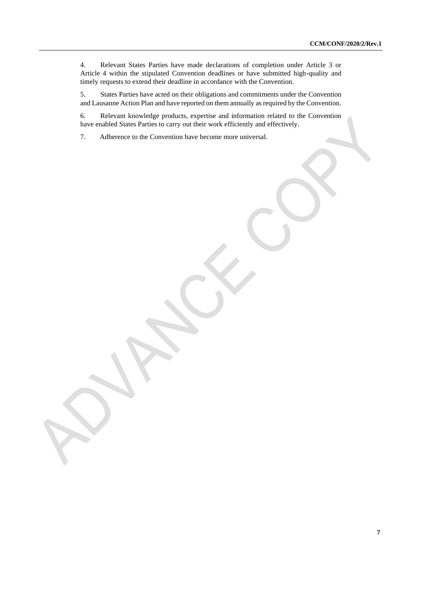4. Relevant States Parties have made declarations of completion under Article 3 or Article 4 within the stipulated Convention deadlines or have submitted high-quality and timely requests to extend their deadline in accordance with the Convention.

5. States Parties have acted on their obligations and commitments under the Convention and Lausanne Action Plan and have reported on them annually as required by the Convention.

6. Relevant knowledge products, expertise and information related to the Convention have enabled States Parties to carry out their work efficiently and effectively.

7. Adherence to the Convention have become more universal.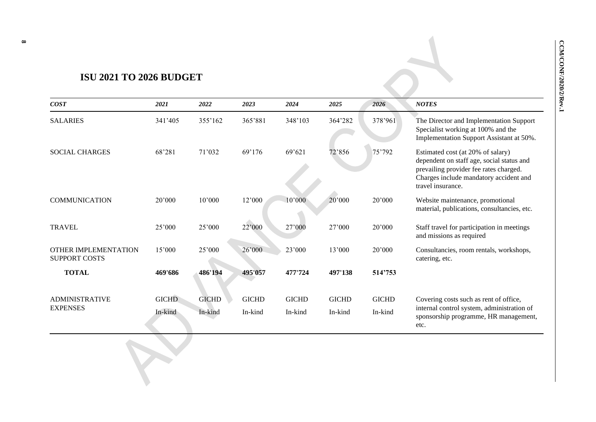# **ISU 2021 TO 2026 BUDGET**

| <b>COST</b>                                         | 2021                    | 2022                    | 2023                    | 2024                    | 2025                    | 2026                    | <b>NOTES</b>                                                                                                                                                                            |
|-----------------------------------------------------|-------------------------|-------------------------|-------------------------|-------------------------|-------------------------|-------------------------|-----------------------------------------------------------------------------------------------------------------------------------------------------------------------------------------|
| <b>SALARIES</b>                                     | 341'405                 | 355'162                 | 365'881                 | 348'103                 | 364'282                 | 378'961                 | The Director and Implementation Support<br>Specialist working at 100% and the<br>Implementation Support Assistant at 50%.                                                               |
| <b>SOCIAL CHARGES</b>                               | 68'281                  | 71'032                  | 69'176                  | 69'621                  | 72'856                  | 75'792                  | Estimated cost (at 20% of salary)<br>dependent on staff age, social status and<br>prevailing provider fee rates charged.<br>Charges include mandatory accident and<br>travel insurance. |
| <b>COMMUNICATION</b>                                | 20'000                  | 10'000                  | 12'000                  | 10'000                  | 20'000                  | 20'000                  | Website maintenance, promotional<br>material, publications, consultancies, etc.                                                                                                         |
| <b>TRAVEL</b>                                       | 25'000                  | 25'000                  | 22'000                  | 27'000                  | 27'000                  | 20'000                  | Staff travel for participation in meetings<br>and missions as required                                                                                                                  |
| <b>OTHER IMPLEMENTATION</b><br><b>SUPPORT COSTS</b> | 15'000                  | 25'000                  | 26'000                  | 23'000                  | 13'000                  | 20'000                  | Consultancies, room rentals, workshops,<br>catering, etc.                                                                                                                               |
| <b>TOTAL</b>                                        | 469'686                 | 486'194                 | 495'057                 | 477'724                 | 497'138                 | 514'753                 |                                                                                                                                                                                         |
| <b>ADMINISTRATIVE</b><br><b>EXPENSES</b>            | <b>GICHD</b><br>In-kind | <b>GICHD</b><br>In-kind | <b>GICHD</b><br>In-kind | <b>GICHD</b><br>In-kind | <b>GICHD</b><br>In-kind | <b>GICHD</b><br>In-kind | Covering costs such as rent of office,<br>internal control system, administration of<br>sponsorship programme, HR management,<br>etc.                                                   |